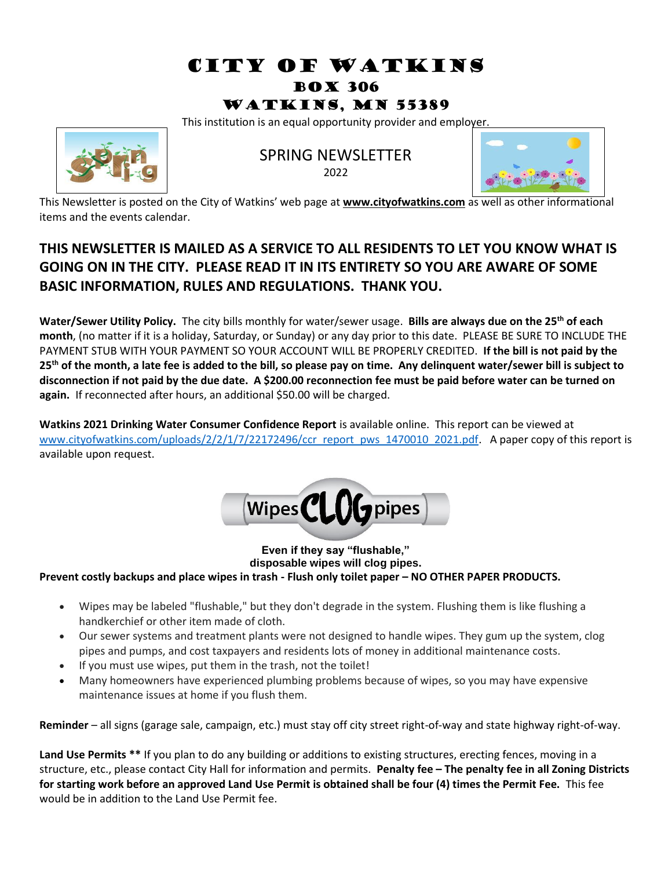# CITY OF WATKINS Box 306

### Watkins, MN 55389

This institution is an equal opportunity provider and employer.



#### SPRING NEWSLETTER

2022



This Newsletter is posted on the City of Watkins' web page at **www.cityofwatkins.com** as well as other informational items and the events calendar.

## **THIS NEWSLETTER IS MAILED AS A SERVICE TO ALL RESIDENTS TO LET YOU KNOW WHAT IS GOING ON IN THE CITY. PLEASE READ IT IN ITS ENTIRETY SO YOU ARE AWARE OF SOME BASIC INFORMATION, RULES AND REGULATIONS. THANK YOU.**

**Water/Sewer Utility Policy.** The city bills monthly for water/sewer usage. **Bills are always due on the 25th of each month**, (no matter if it is a holiday, Saturday, or Sunday) or any day prior to this date. PLEASE BE SURE TO INCLUDE THE PAYMENT STUB WITH YOUR PAYMENT SO YOUR ACCOUNT WILL BE PROPERLY CREDITED. **If the bill is not paid by the 25th of the month, a late fee is added to the bill, so please pay on time. Any delinquent water/sewer bill is subject to disconnection if not paid by the due date. A \$200.00 reconnection fee must be paid before water can be turned on again.** If reconnected after hours, an additional \$50.00 will be charged.

**Watkins 2021 Drinking Water Consumer Confidence Report** is available online. This report can be viewed at [www.cityofwatkins.com/uploads/2/2/1/7/22172496/ccr\\_report\\_pws\\_1470010\\_2021.pdf.](http://www.cityofwatkins.com/uploads/2/2/1/7/22172496/ccr_report_pws_1470010_2021.pdf) A paper copy of this report is available upon request.



**Even if they say "flushable," disposable wipes will clog pipes. Prevent costly backups and place wipes in trash - Flush only toilet paper – NO OTHER PAPER PRODUCTS.**

- Wipes may be labeled "flushable," but they don't degrade in the system. Flushing them is like flushing a handkerchief or other item made of cloth.
- Our sewer systems and treatment plants were not designed to handle wipes. They gum up the system, clog pipes and pumps, and cost taxpayers and residents lots of money in additional maintenance costs.
- If you must use wipes, put them in the trash, not the toilet!
- Many homeowners have experienced plumbing problems because of wipes, so you may have expensive maintenance issues at home if you flush them.

**Reminder** – all signs (garage sale, campaign, etc.) must stay off city street right-of-way and state highway right-of-way.

**Land Use Permits \*\*** If you plan to do any building or additions to existing structures, erecting fences, moving in a structure, etc., please contact City Hall for information and permits. **Penalty fee – The penalty fee in all Zoning Districts for starting work before an approved Land Use Permit is obtained shall be four (4) times the Permit Fee.** This fee would be in addition to the Land Use Permit fee.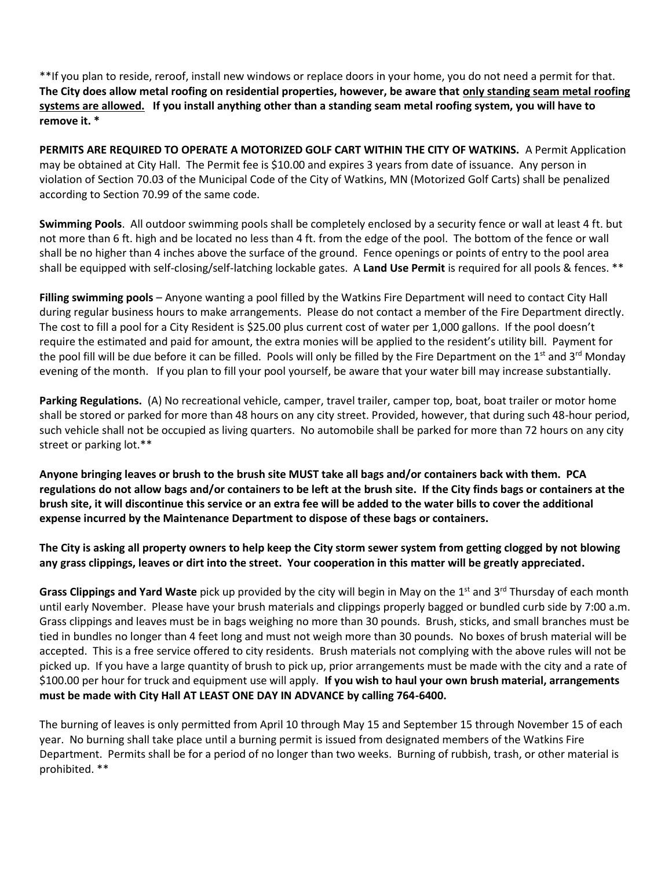\*\*If you plan to reside, reroof, install new windows or replace doors in your home, you do not need a permit for that. **The City does allow metal roofing on residential properties, however, be aware that only standing seam metal roofing systems are allowed. If you install anything other than a standing seam metal roofing system, you will have to remove it. \***

PERMITS ARE REQUIRED TO OPERATE A MOTORIZED GOLF CART WITHIN THE CITY OF WATKINS. A Permit Application may be obtained at City Hall. The Permit fee is \$10.00 and expires 3 years from date of issuance. Any person in violation of Section 70.03 of the Municipal Code of the City of Watkins, MN (Motorized Golf Carts) shall be penalized according to Section 70.99 of the same code.

**Swimming Pools**. All outdoor swimming pools shall be completely enclosed by a security fence or wall at least 4 ft. but not more than 6 ft. high and be located no less than 4 ft. from the edge of the pool. The bottom of the fence or wall shall be no higher than 4 inches above the surface of the ground. Fence openings or points of entry to the pool area shall be equipped with self-closing/self-latching lockable gates. A **Land Use Permit** is required for all pools & fences. \*\*

**Filling swimming pools** – Anyone wanting a pool filled by the Watkins Fire Department will need to contact City Hall during regular business hours to make arrangements. Please do not contact a member of the Fire Department directly. The cost to fill a pool for a City Resident is \$25.00 plus current cost of water per 1,000 gallons. If the pool doesn't require the estimated and paid for amount, the extra monies will be applied to the resident's utility bill. Payment for the pool fill will be due before it can be filled. Pools will only be filled by the Fire Department on the 1<sup>st</sup> and 3<sup>rd</sup> Monday evening of the month. If you plan to fill your pool yourself, be aware that your water bill may increase substantially.

**Parking Regulations.** (A) No recreational vehicle, camper, travel trailer, camper top, boat, boat trailer or motor home shall be stored or parked for more than 48 hours on any city street. Provided, however, that during such 48-hour period, such vehicle shall not be occupied as living quarters. No automobile shall be parked for more than 72 hours on any city street or parking lot.\*\*

**Anyone bringing leaves or brush to the brush site MUST take all bags and/or containers back with them. PCA regulations do not allow bags and/or containers to be left at the brush site. If the City finds bags or containers at the brush site, it will discontinue this service or an extra fee will be added to the water bills to cover the additional expense incurred by the Maintenance Department to dispose of these bags or containers.**

**The City is asking all property owners to help keep the City storm sewer system from getting clogged by not blowing any grass clippings, leaves or dirt into the street. Your cooperation in this matter will be greatly appreciated.**

**Grass Clippings and Yard Waste** pick up provided by the city will begin in May on the 1<sup>st</sup> and 3<sup>rd</sup> Thursday of each month until early November. Please have your brush materials and clippings properly bagged or bundled curb side by 7:00 a.m. Grass clippings and leaves must be in bags weighing no more than 30 pounds. Brush, sticks, and small branches must be tied in bundles no longer than 4 feet long and must not weigh more than 30 pounds. No boxes of brush material will be accepted. This is a free service offered to city residents. Brush materials not complying with the above rules will not be picked up. If you have a large quantity of brush to pick up, prior arrangements must be made with the city and a rate of \$100.00 per hour for truck and equipment use will apply. **If you wish to haul your own brush material, arrangements must be made with City Hall AT LEAST ONE DAY IN ADVANCE by calling 764-6400.**

The burning of leaves is only permitted from April 10 through May 15 and September 15 through November 15 of each year. No burning shall take place until a burning permit is issued from designated members of the Watkins Fire Department. Permits shall be for a period of no longer than two weeks. Burning of rubbish, trash, or other material is prohibited. \*\*